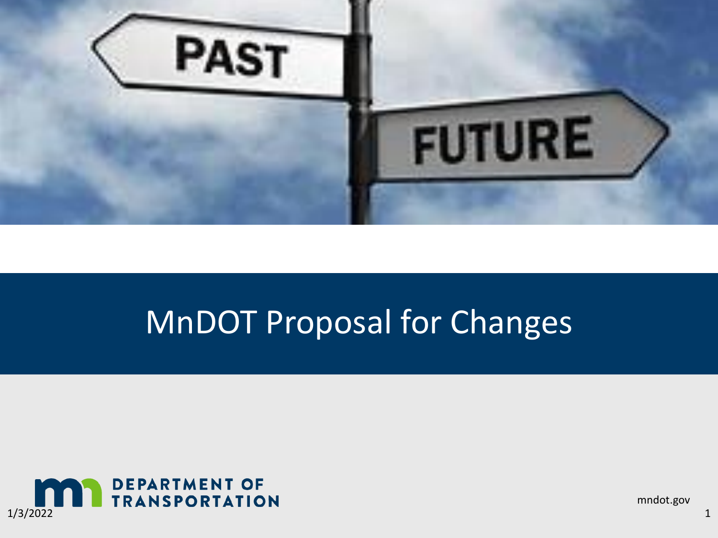

#### MnDOT Proposal for Changes



mndot.gov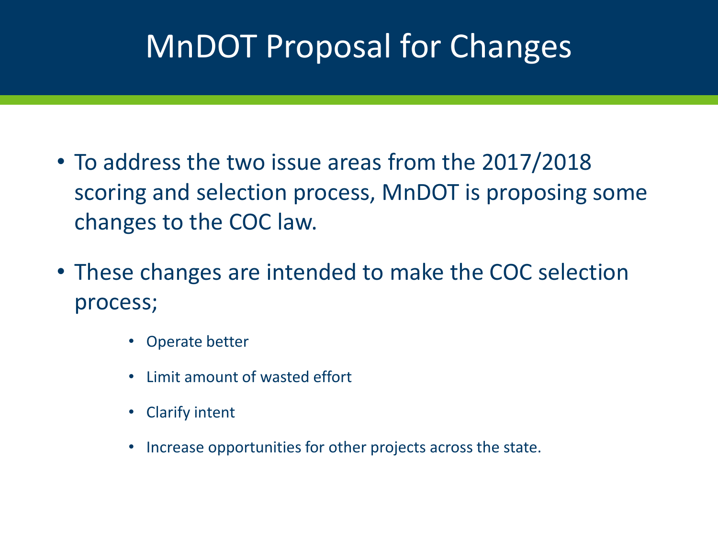## MnDOT Proposal for Changes

- To address the two issue areas from the 2017/2018 scoring and selection process, MnDOT is proposing some changes to the COC law.
- These changes are intended to make the COC selection process;
	- Operate better
	- Limit amount of wasted effort
	- Clarify intent
	- Increase opportunities for other projects across the state.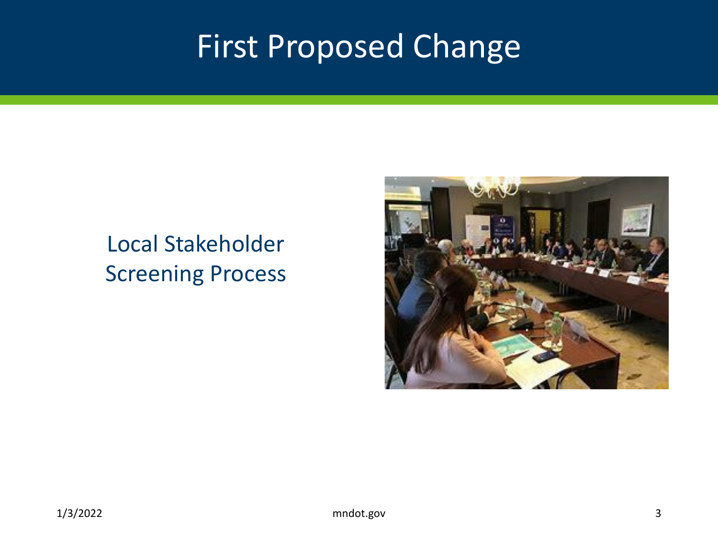#### First Proposed Change

#### Local Stakeholder Screening Process

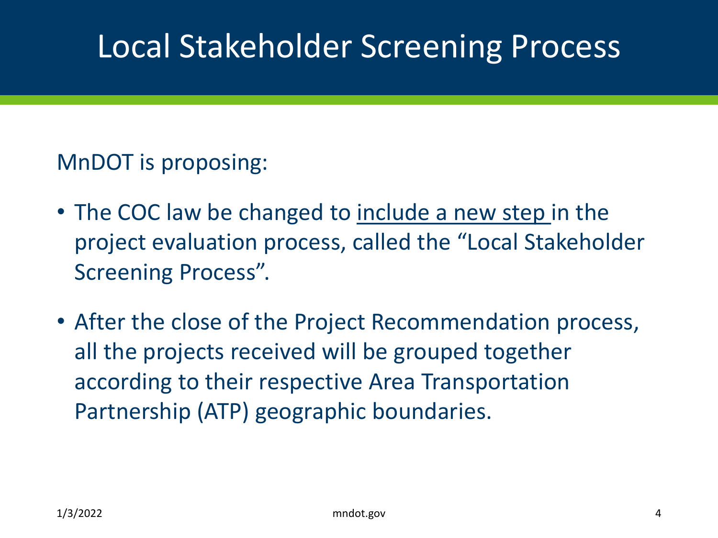#### MnDOT is proposing:

- The COC law be changed to include a new step in the project evaluation process, called the "Local Stakeholder Screening Process".
- After the close of the Project Recommendation process, all the projects received will be grouped together according to their respective Area Transportation Partnership (ATP) geographic boundaries.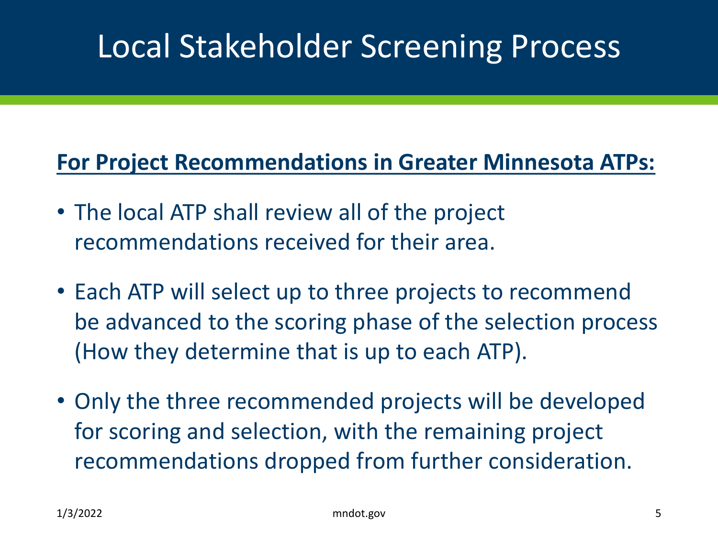#### **For Project Recommendations in Greater Minnesota ATPs:**

- The local ATP shall review all of the project recommendations received for their area.
- Each ATP will select up to three projects to recommend be advanced to the scoring phase of the selection process (How they determine that is up to each ATP).
- Only the three recommended projects will be developed for scoring and selection, with the remaining project recommendations dropped from further consideration.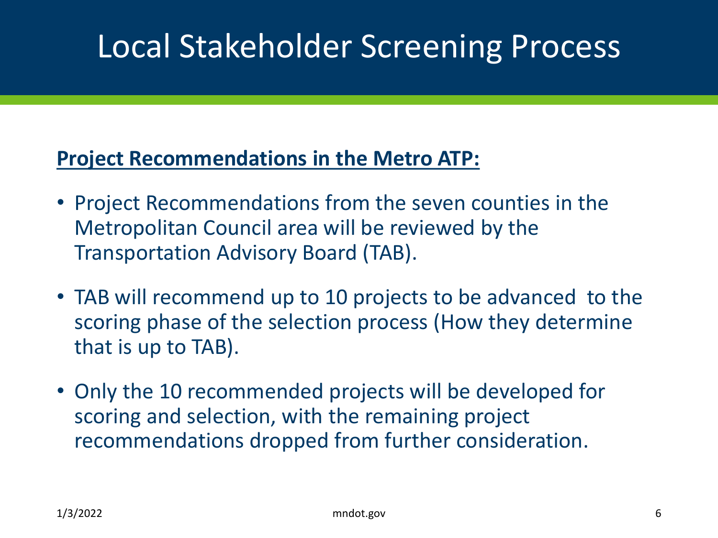#### **Project Recommendations in the Metro ATP:**

- Project Recommendations from the seven counties in the Metropolitan Council area will be reviewed by the Transportation Advisory Board (TAB).
- TAB will recommend up to 10 projects to be advanced to the scoring phase of the selection process (How they determine that is up to TAB).
- Only the 10 recommended projects will be developed for scoring and selection, with the remaining project recommendations dropped from further consideration.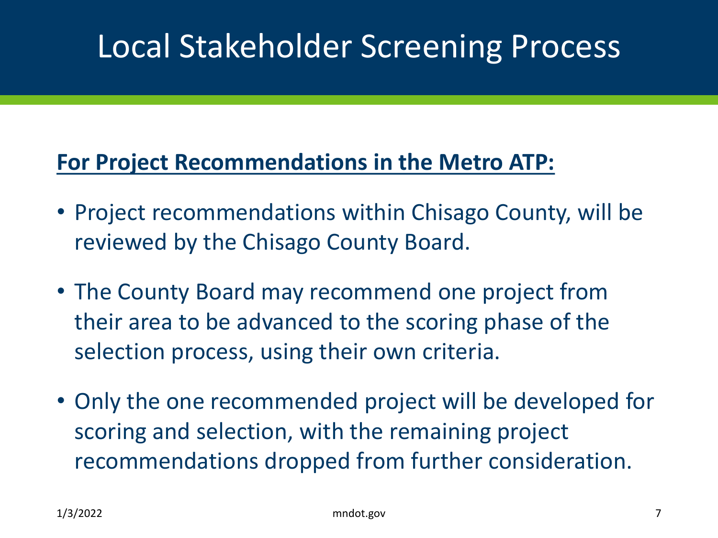#### **For Project Recommendations in the Metro ATP:**

- Project recommendations within Chisago County, will be reviewed by the Chisago County Board.
- The County Board may recommend one project from their area to be advanced to the scoring phase of the selection process, using their own criteria.
- Only the one recommended project will be developed for scoring and selection, with the remaining project recommendations dropped from further consideration.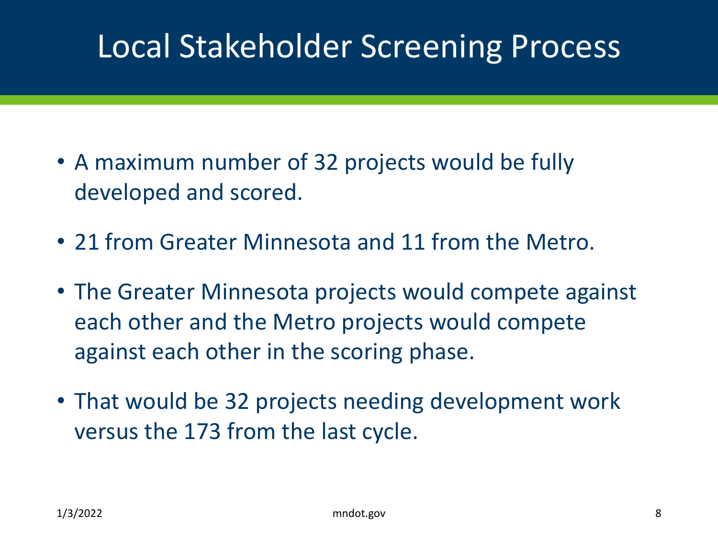- A maximum number of 32 projects would be fully developed and scored.
- 21 from Greater Minnesota and 11 from the Metro.
- The Greater Minnesota projects would compete against each other and the Metro projects would compete against each other in the scoring phase.
- That would be 32 projects needing development work versus the 173 from the last cycle.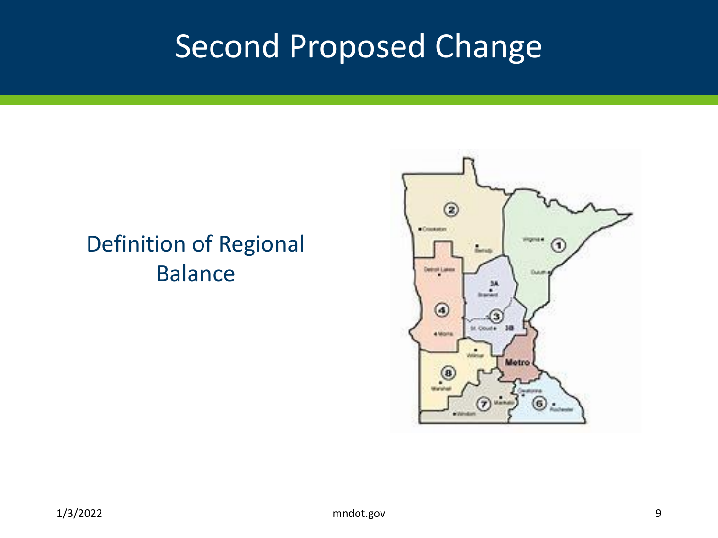## Second Proposed Change

#### Definition of Regional Balance

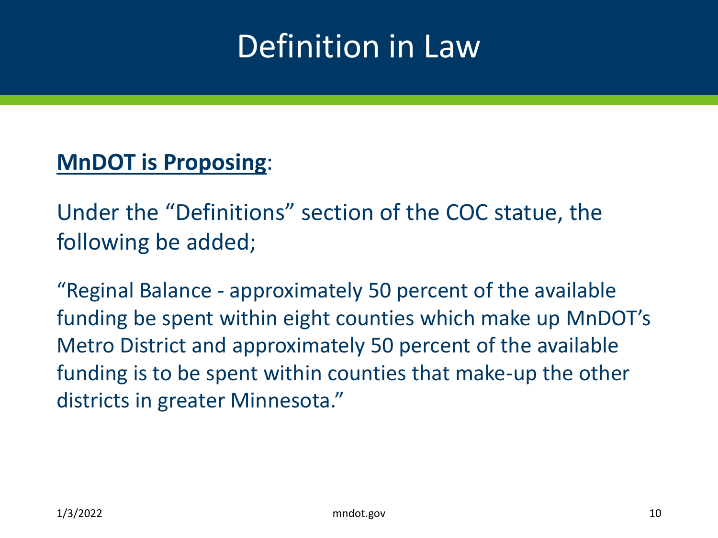## Definition in Law

#### **MnDOT is Proposing**:

Under the "Definitions" section of the COC statue, the following be added;

"Reginal Balance - approximately 50 percent of the available funding be spent within eight counties which make up MnDOT's Metro District and approximately 50 percent of the available funding is to be spent within counties that make-up the other districts in greater Minnesota."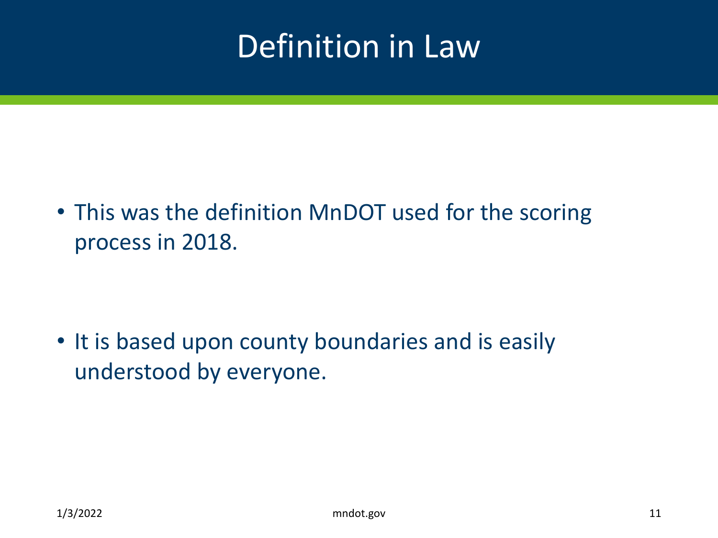## Definition in Law

• This was the definition MnDOT used for the scoring process in 2018.

• It is based upon county boundaries and is easily understood by everyone.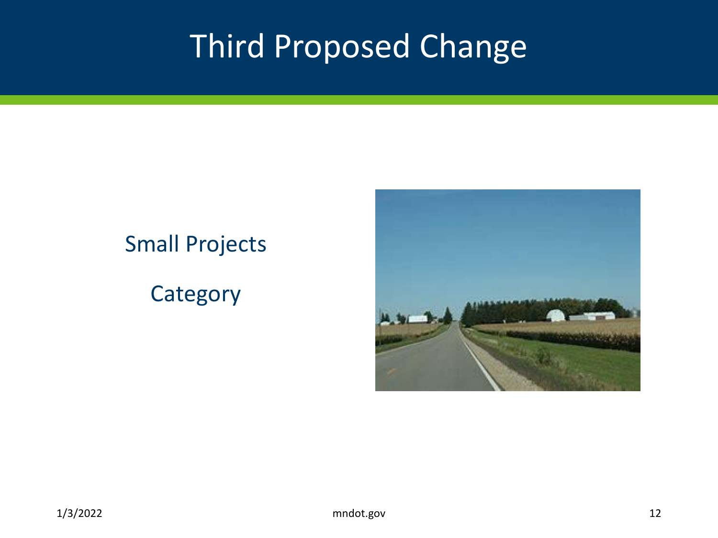## Third Proposed Change

#### Small Projects

#### **Category**

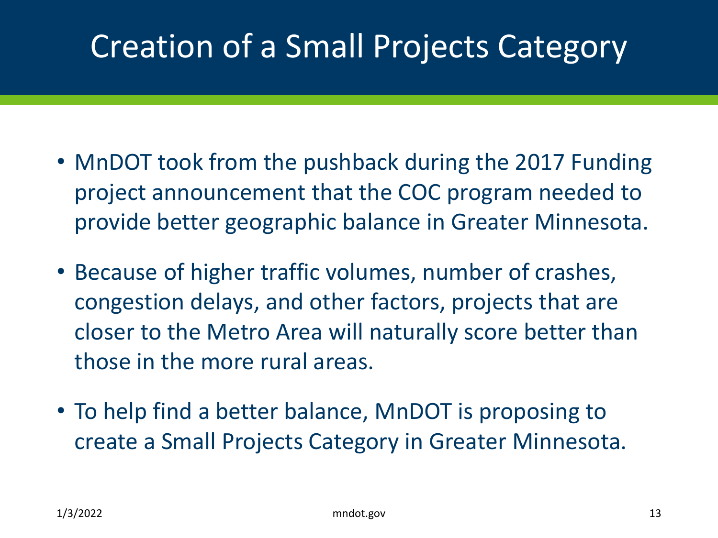# Creation of a Small Projects Category

- MnDOT took from the pushback during the 2017 Funding project announcement that the COC program needed to provide better geographic balance in Greater Minnesota.
- Because of higher traffic volumes, number of crashes, congestion delays, and other factors, projects that are closer to the Metro Area will naturally score better than those in the more rural areas.
- To help find a better balance, MnDOT is proposing to create a Small Projects Category in Greater Minnesota.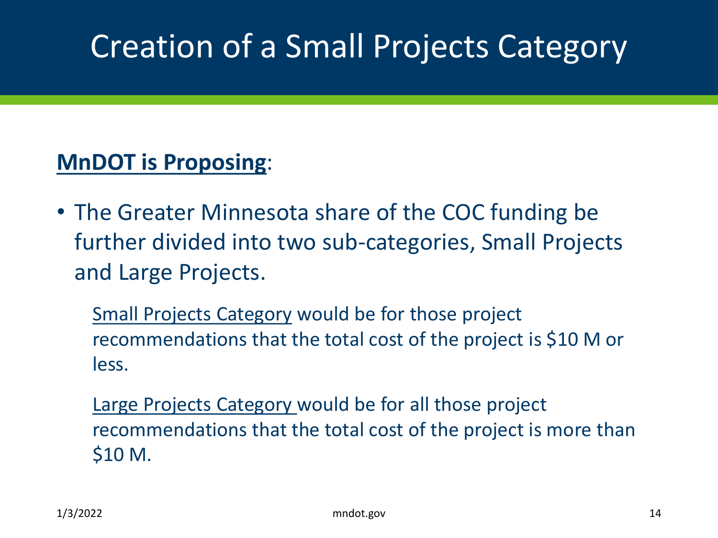# Creation of a Small Projects Category

#### **MnDOT is Proposing**:

• The Greater Minnesota share of the COC funding be further divided into two sub-categories, Small Projects and Large Projects.

Small Projects Category would be for those project recommendations that the total cost of the project is \$10 M or less.

Large Projects Category would be for all those project recommendations that the total cost of the project is more than \$10 M.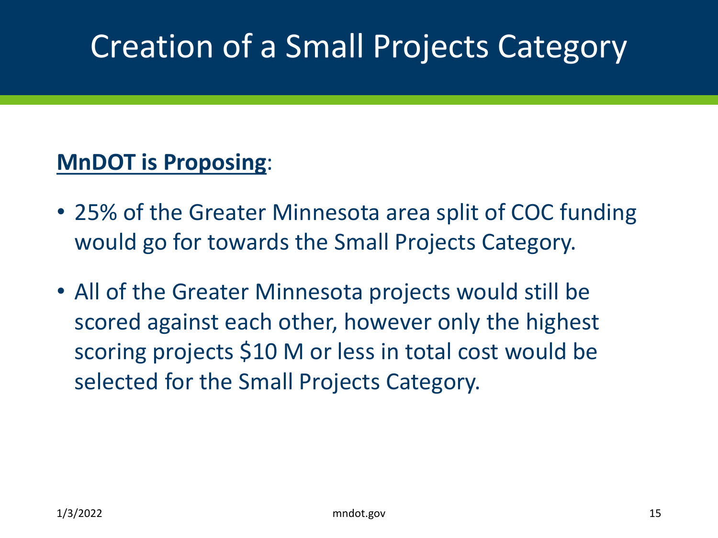# Creation of a Small Projects Category

#### **MnDOT is Proposing**:

- 25% of the Greater Minnesota area split of COC funding would go for towards the Small Projects Category.
- All of the Greater Minnesota projects would still be scored against each other, however only the highest scoring projects \$10 M or less in total cost would be selected for the Small Projects Category.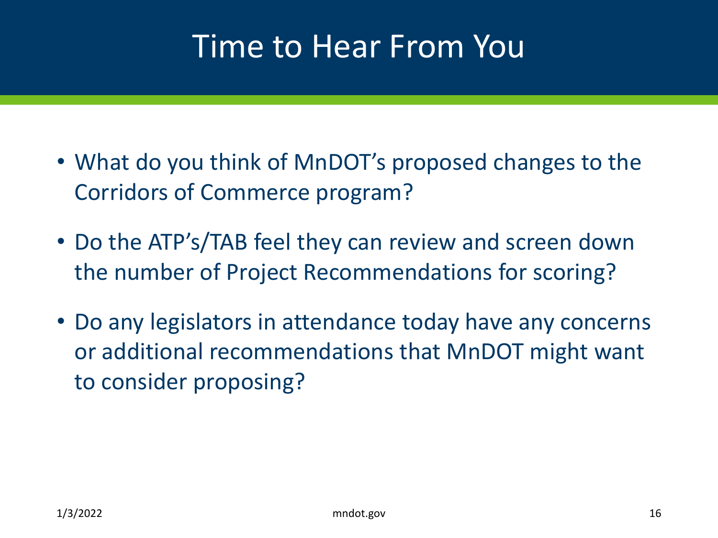#### Time to Hear From You

- What do you think of MnDOT's proposed changes to the Corridors of Commerce program?
- Do the ATP's/TAB feel they can review and screen down the number of Project Recommendations for scoring?
- Do any legislators in attendance today have any concerns or additional recommendations that MnDOT might want to consider proposing?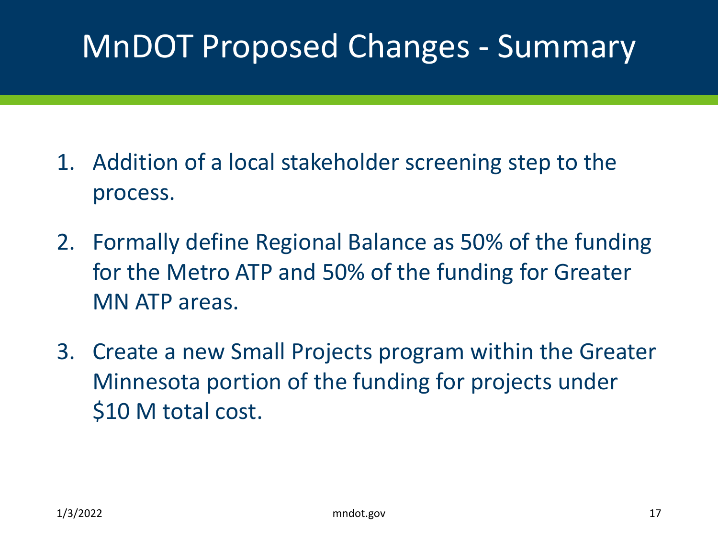## MnDOT Proposed Changes - Summary

- 1. Addition of a local stakeholder screening step to the process.
- 2. Formally define Regional Balance as 50% of the funding for the Metro ATP and 50% of the funding for Greater MN ATP areas.
- 3. Create a new Small Projects program within the Greater Minnesota portion of the funding for projects under \$10 M total cost.